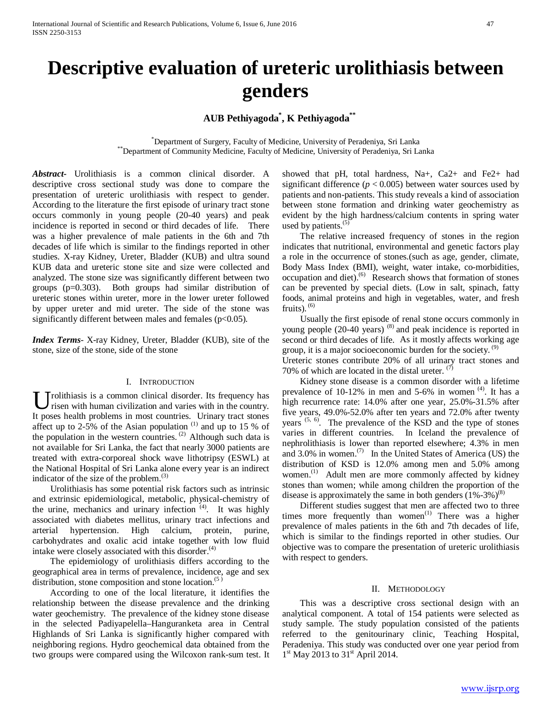# **Descriptive evaluation of ureteric urolithiasis between genders**

## **AUB Pethiyagoda\* , K Pethiyagoda\*\***

\*\*\*\*\* Department of Surgery, Faculty of Medicine, University of Peradeniya, Sri Lanka \*\*Department of Community Medicine, Faculty of Medicine, University of Peradeniya, Sri Lanka

*Abstract***-** Urolithiasis is a common clinical disorder. A descriptive cross sectional study was done to compare the presentation of ureteric urolithiasis with respect to gender. According to the literature the first episode of urinary tract stone occurs commonly in young people (20-40 years) and peak incidence is reported in second or third decades of life. There was a higher prevalence of male patients in the 6th and 7th decades of life which is similar to the findings reported in other studies. X-ray Kidney, Ureter, Bladder (KUB) and ultra sound KUB data and ureteric stone site and size were collected and analyzed. The stone size was significantly different between two groups (p=0.303). Both groups had similar distribution of ureteric stones within ureter, more in the lower ureter followed by upper ureter and mid ureter. The side of the stone was significantly different between males and females ( $p<0.05$ ).

*Index Terms*- X-ray Kidney, Ureter, Bladder (KUB), site of the stone, size of the stone, side of the stone

#### I. INTRODUCTION

rolithiasis is a common clinical disorder. Its frequency has risen with human civilization and varies with in the country. U rolithiasis is a common clinical disorder. Its frequency has risen with human civilization and varies with in the country.<br>It poses health problems in most countries. Urinary tract stones affect up to 2-5% of the Asian population  $(1)$  and up to 15 % of the population in the western countries.  $(2)$  Although such data is not available for Sri Lanka, the fact that nearly 3000 patients are treated with extra-corporeal shock wave lithotripsy (ESWL) at the National Hospital of Sri Lanka alone every year is an indirect indicator of the size of the problem. $^{(3)}$ 

 Urolithiasis has some potential risk factors such as intrinsic and extrinsic epidemiological, metabolic, physical-chemistry of the urine, mechanics and urinary infection <sup>(4)</sup>. It was highly associated with diabetes mellitus, urinary tract infections and arterial hypertension. High calcium, protein, purine, carbohydrates and oxalic acid intake together with low fluid intake were closely associated with this disorder.<sup>(4)</sup>

 The epidemiology of urolithiasis differs according to the geographical area in terms of prevalence, incidence, age and sex distribution, stone composition and stone location. $(5)$ 

 According to one of the local literature, it identifies the relationship between the disease prevalence and the drinking water geochemistry. The prevalence of the kidney stone disease in the selected Padiyapelella–Hanguranketa area in Central Highlands of Sri Lanka is significantly higher compared with neighboring regions. Hydro geochemical data obtained from the two groups were compared using the Wilcoxon rank-sum test. It showed that pH, total hardness, Na+, Ca2+ and Fe2+ had significant difference  $(p < 0.005)$  between water sources used by patients and non-patients. This study reveals a kind of association between stone formation and drinking water geochemistry as evident by the high hardness/calcium contents in spring water used by patients. $(5)$ 

 The relative increased frequency of stones in the region indicates that nutritional, environmental and genetic factors play a role in the occurrence of stones.(such as age, gender, climate, Body Mass Index (BMI), weight, water intake, co-morbidities, occupation and diet).<sup>(6)</sup> Research shows that formation of stones can be prevented by special diets. (Low in salt, spinach, fatty foods, animal proteins and high in vegetables, water, and fresh fruits).  $(6)$ 

 Usually the first episode of renal stone occurs commonly in young people (20-40 years)<sup>(8)</sup> and peak incidence is reported in second or third decades of life. As it mostly affects working age group, it is a major socioeconomic burden for the society.  $(9)$ Ureteric stones contribute 20% of all urinary tract stones and 70% of which are located in the distal ureter. <sup>(7)</sup>

 Kidney stone disease is a common disorder with a lifetime prevalence of  $10-12\%$  in men and  $5-6\%$  in women  $(4)$ . It has a high recurrence rate: 14.0% after one year, 25.0%-31.5% after five years, 49.0%-52.0% after ten years and 72.0% after twenty years  $(5, 6)$ . The prevalence of the KSD and the type of stones varies in different countries. In Iceland the prevalence of nephrolithiasis is lower than reported elsewhere; 4.3% in men and 3.0% in women. $(7)$  In the United States of America (US) the distribution of KSD is 12.0% among men and 5.0% among women.<sup>(1)</sup> Adult men are more commonly affected by kidney stones than women; while among children the proportion of the disease is approximately the same in both genders  $(1\% - 3\%)^{(8)}$ 

 Different studies suggest that men are affected two to three times more frequently than women<sup> $(1)$ </sup> There was a higher prevalence of males patients in the 6th and 7th decades of life, which is similar to the findings reported in other studies. Our objective was to compare the presentation of ureteric urolithiasis with respect to genders.

#### II. METHODOLOGY

 This was a descriptive cross sectional design with an analytical component. A total of 154 patients were selected as study sample. The study population consisted of the patients referred to the genitourinary clinic, Teaching Hospital, Peradeniya. This study was conducted over one year period from  $1<sup>st</sup>$  May 2013 to 31<sup>st</sup> April 2014.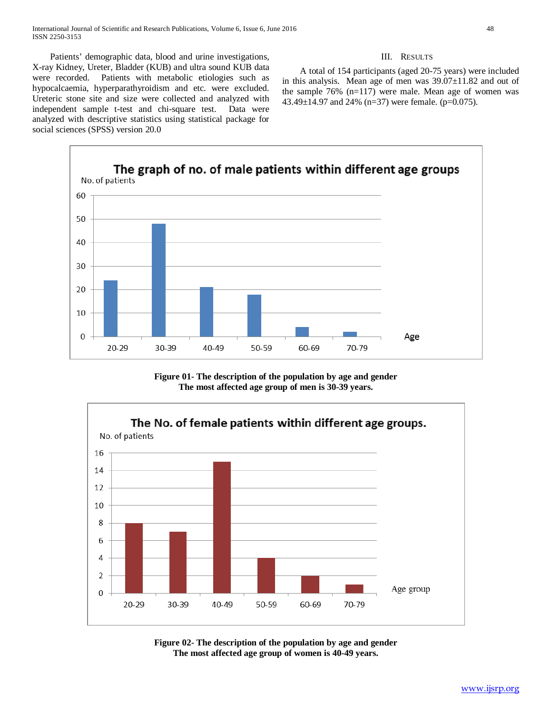Patients' demographic data, blood and urine investigations, X-ray Kidney, Ureter, Bladder (KUB) and ultra sound KUB data were recorded. Patients with metabolic etiologies such as hypocalcaemia, hyperparathyroidism and etc. were excluded. Ureteric stone site and size were collected and analyzed with independent sample t-test and chi-square test. Data were analyzed with descriptive statistics using statistical package for social sciences (SPSS) version 20.0

#### III. RESULTS

 A total of 154 participants (aged 20-75 years) were included in this analysis. Mean age of men was 39.07±11.82 and out of the sample 76% (n=117) were male. Mean age of women was 43.49 $\pm$ 14.97 and 24% (n=37) were female. (p=0.075).



**Figure 01- The description of the population by age and gender The most affected age group of men is 30-39 years.**



**Figure 02- The description of the population by age and gender The most affected age group of women is 40-49 years.**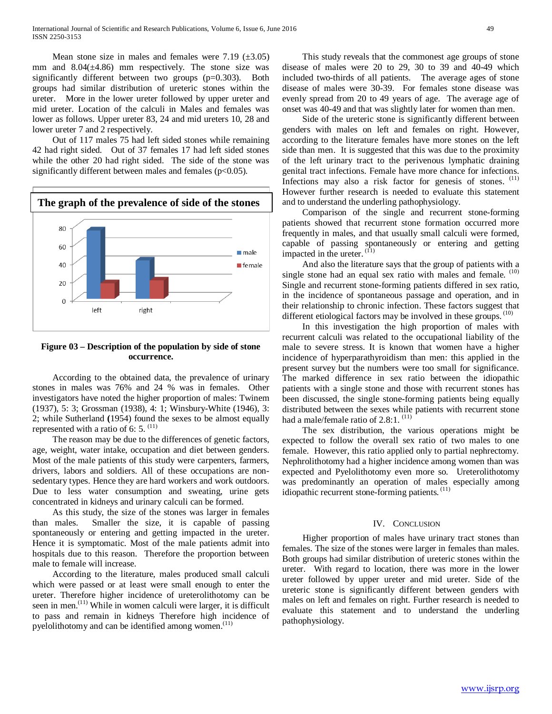Mean stone size in males and females were 7.19  $(\pm 3.05)$ mm and  $8.04(\pm 4.86)$  mm respectively. The stone size was significantly different between two groups (p=0.303). Both groups had similar distribution of ureteric stones within the ureter. More in the lower ureter followed by upper ureter and mid ureter. Location of the calculi in Males and females was lower as follows. Upper ureter 83, 24 and mid ureters 10, 28 and lower ureter 7 and 2 respectively.

 Out of 117 males 75 had left sided stones while remaining 42 had right sided. Out of 37 females 17 had left sided stones while the other 20 had right sided. The side of the stone was significantly different between males and females  $(p<0.05)$ .



### **Figure 03 – Description of the population by side of stone occurrence.**

 According to the obtained data, the prevalence of urinary stones in males was 76% and 24 % was in females. Other investigators have noted the higher proportion of males: Twinem (1937), 5: 3; Grossman (1938), 4: 1; Winsbury-White (1946), 3: 2; while Sutherland **(**1954) found the sexes to be almost equally represented with a ratio of 6: 5.  $(11)$ 

 The reason may be due to the differences of genetic factors, age, weight, water intake, occupation and diet between genders. Most of the male patients of this study were carpenters, farmers, drivers, labors and soldiers. All of these occupations are nonsedentary types. Hence they are hard workers and work outdoors. Due to less water consumption and sweating, urine gets concentrated in kidneys and urinary calculi can be formed.

 As this study, the size of the stones was larger in females than males. Smaller the size, it is capable of passing spontaneously or entering and getting impacted in the ureter. Hence it is symptomatic. Most of the male patients admit into hospitals due to this reason. Therefore the proportion between male to female will increase.

 According to the literature, males produced small calculi which were passed or at least were small enough to enter the ureter. Therefore higher incidence of ureterolithotomy can be seen in men.<sup>(11)</sup> While in women calculi were larger, it is difficult to pass and remain in kidneys Therefore high incidence of pyelolithotomy and can be identified among women. $(11)$ 

 This study reveals that the commonest age groups of stone disease of males were 20 to 29, 30 to 39 and 40-49 which included two-thirds of all patients. The average ages of stone disease of males were 30-39. For females stone disease was evenly spread from 20 to 49 years of age. The average age of onset was 40-49 and that was slightly later for women than men.

 Side of the ureteric stone is significantly different between genders with males on left and females on right. However, according to the literature females have more stones on the left side than men. It is suggested that this was due to the proximity of the left urinary tract to the perivenous lymphatic draining genital tract infections. Female have more chance for infections. Infections may also a risk factor for genesis of stones.  $(11)$ However further research is needed to evaluate this statement and to understand the underling pathophysiology.

 Comparison of the single and recurrent stone-forming patients showed that recurrent stone formation occurred more frequently in males, and that usually small calculi were formed, capable of passing spontaneously or entering and getting impacted in the ureter. $(1)$ 

 And also the literature says that the group of patients with a single stone had an equal sex ratio with males and female. (10) Single and recurrent stone-forming patients differed in sex ratio, in the incidence of spontaneous passage and operation, and in their relationship to chronic infection. These factors suggest that different etiological factors may be involved in these groups.  $(10)$ 

 In this investigation the high proportion of males with recurrent calculi was related to the occupational liability of the male to severe stress. It is known that women have a higher incidence of hyperparathyroidism than men: this applied in the present survey but the numbers were too small for significance. The marked difference in sex ratio between the idiopathic patients with a single stone and those with recurrent stones has been discussed, the single stone-forming patients being equally distributed between the sexes while patients with recurrent stone had a male/female ratio of  $2.8:1$ .  $(11)$ 

 The sex distribution, the various operations might be expected to follow the overall sex ratio of two males to one female. However, this ratio applied only to partial nephrectomy. Nephrolithotomy had a higher incidence among women than was expected and Pyelolithotomy even more so. Ureterolithotomy was predominantly an operation of males especially among idiopathic recurrent stone-forming patients. (11)

#### IV. CONCLUSION

 Higher proportion of males have urinary tract stones than females. The size of the stones were larger in females than males. Both groups had similar distribution of ureteric stones within the ureter. With regard to location, there was more in the lower ureter followed by upper ureter and mid ureter. Side of the ureteric stone is significantly different between genders with males on left and females on right. Further research is needed to evaluate this statement and to understand the underling pathophysiology.